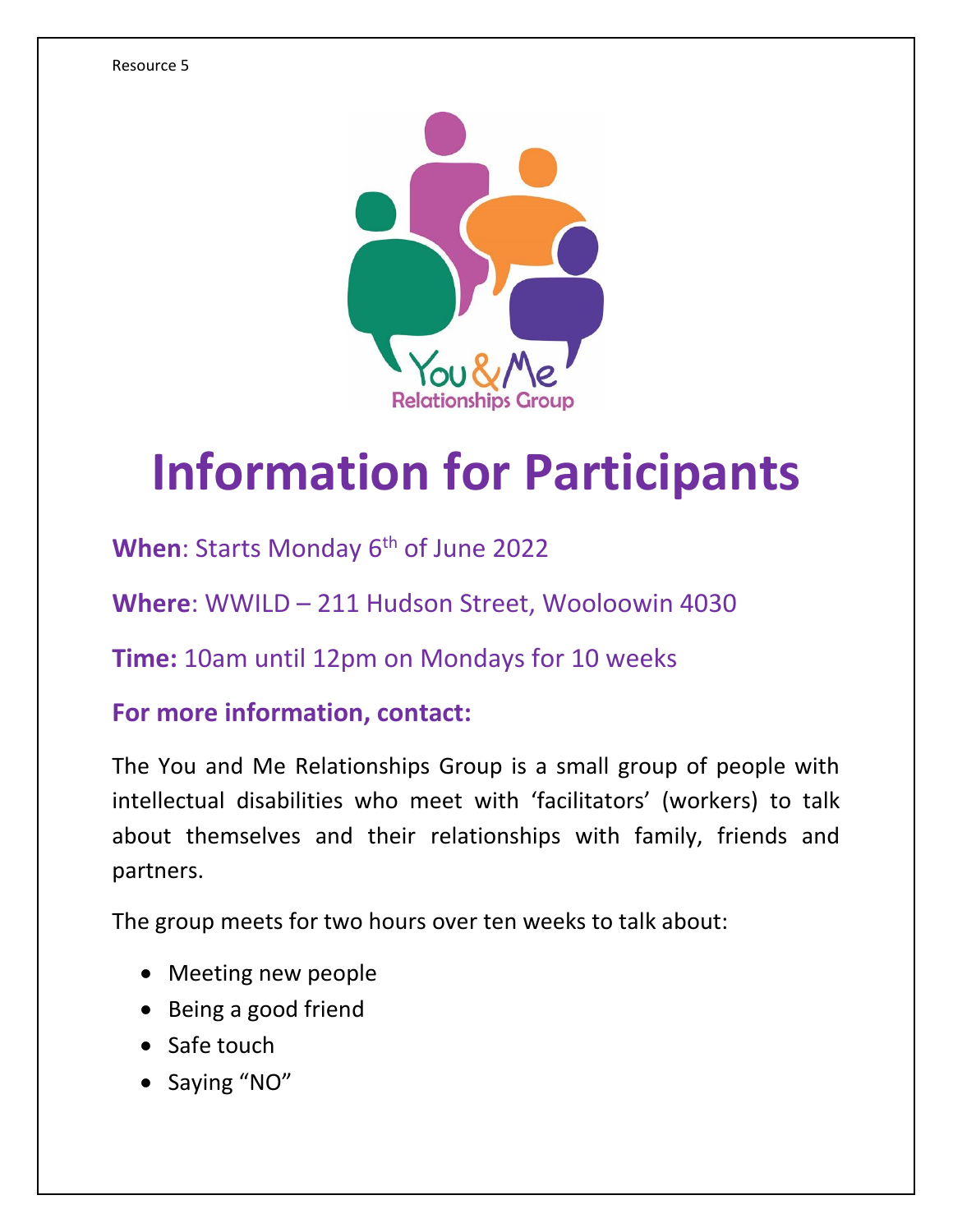

## **Information for Participants**

When: Starts Monday 6<sup>th</sup> of June 2022

**Where**: WWILD – 211 Hudson Street, Wooloowin 4030

**Time:** 10am until 12pm on Mondays for 10 weeks

## **For more information, contact:**

The You and Me Relationships Group is a small group of people with intellectual disabilities who meet with 'facilitators' (workers) to talk about themselves and their relationships with family, friends and partners.

The group meets for two hours over ten weeks to talk about:

- Meeting new people
- Being a good friend
- Safe touch
- Saying "NO"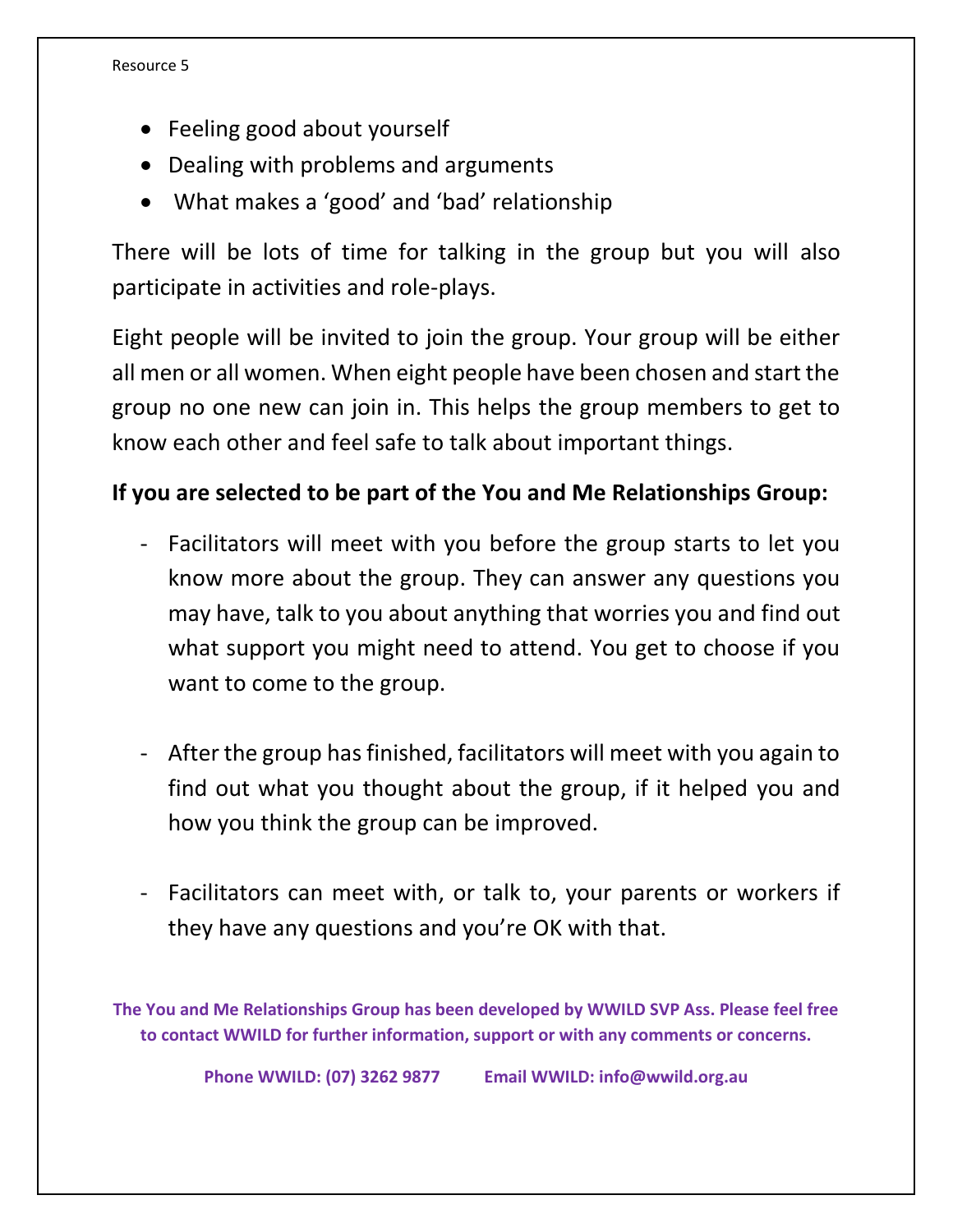- Feeling good about yourself
- Dealing with problems and arguments
- What makes a 'good' and 'bad' relationship

There will be lots of time for talking in the group but you will also participate in activities and role-plays.

Eight people will be invited to join the group. Your group will be either all men or all women. When eight people have been chosen and start the group no one new can join in. This helps the group members to get to know each other and feel safe to talk about important things.

## **If you are selected to be part of the You and Me Relationships Group:**

- Facilitators will meet with you before the group starts to let you know more about the group. They can answer any questions you may have, talk to you about anything that worries you and find out what support you might need to attend. You get to choose if you want to come to the group.
- After the group has finished, facilitators will meet with you again to find out what you thought about the group, if it helped you and how you think the group can be improved.
- Facilitators can meet with, or talk to, your parents or workers if they have any questions and you're OK with that.

**The You and Me Relationships Group has been developed by WWILD SVP Ass. Please feel free to contact WWILD for further information, support or with any comments or concerns.**

**Phone WWILD: (07) 3262 9877 Email WWILD: info@wwild.org.au**